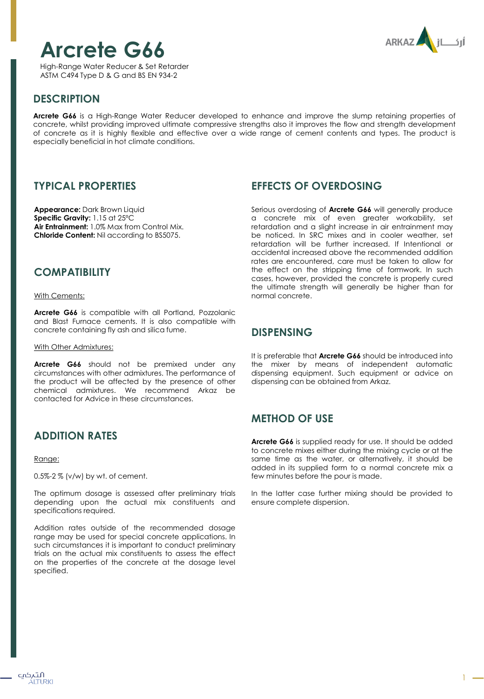# **Arcrete G66**

High-Range Water Reducer & Set Retarder ASTM C494 Type D & G and BS EN 934-2



# **DESCRIPTION**

**Arcrete G66** is a High-Range Water Reducer developed to enhance and improve the slump retaining properties of concrete, whilst providing improved ultimate compressive strengths also it improves the flow and strength development of concrete as it is highly flexible and effective over a wide range of cement contents and types. The product is especially beneficial in hot climate conditions.

#### **TYPICAL PROPERTIES**

**Appearance:** Dark Brown Liquid **Specific Gravity:** 1.15 at 25ºC **Air Entrainment:** 1.0% Max from Control Mix. **Chloride Content:** Nil according to BS5075.

## **COMPATIBILITY**

With Cements:

**Arcrete G66** is compatible with all Portland, Pozzolanic and Blast Furnace cements. It is also compatible with concrete containing fly ash and silica fume.

With Other Admixtures:

**Arcrete G66** should not be premixed under any circumstances with other admixtures. The performance of the product will be affected by the presence of other chemical admixtures. We recommend Arkaz be contacted for Advice in these circumstances.

# **ADDITION RATES**

Range:

0.5%-2 % (v/w) by wt. of cement.

The optimum dosage is assessed after preliminary trials depending upon the actual mix constituents and specifications required.

Addition rates outside of the recommended dosage range may be used for special concrete applications. In such circumstances it is important to conduct preliminary trials on the actual mix constituents to assess the effect on the properties of the concrete at the dosage level specified.

# **EFFECTS OF OVERDOSING**

Serious overdosing of **Arcrete G66** will generally produce a concrete mix of even greater workability, set retardation and a slight increase in air entrainment may be noticed. In SRC mixes and in cooler weather, set retardation will be further increased. If Intentional or accidental increased above the recommended addition rates are encountered, care must be taken to allow for the effect on the stripping time of formwork. In such cases, however, provided the concrete is properly cured the ultimate strength will generally be higher than for normal concrete.

## **DISPENSING**

It is preferable that **Arcrete G66** should be introduced into the mixer by means of independent automatic dispensing equipment. Such equipment or advice on dispensing can be obtained from Arkaz.

# **METHOD OF USE**

**Arcrete G66** is supplied ready for use. It should be added to concrete mixes either during the mixing cycle or at the same time as the water, or alternatively, it should be added in its supplied form to a normal concrete mix a few minutes before the pour is made.

In the latter case further mixing should be provided to ensure complete dispersion.